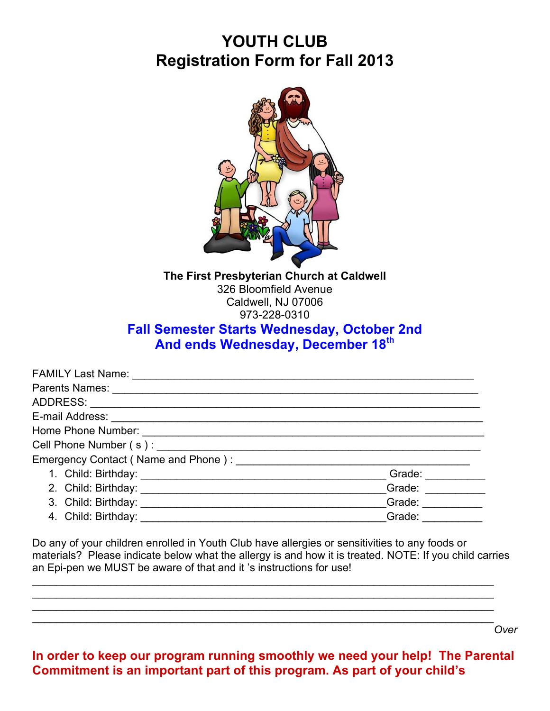# **YOUTH CLUB Registration Form for Fall 2013**



**The First Presbyterian Church at Caldwell** 326 Bloomfield Avenue Caldwell, NJ 07006 973-228-0310

# **Fall Semester Starts Wednesday, October 2nd And ends Wednesday, December 18th**

|                     | Grade:                                                                                                                                                                                                                         |
|---------------------|--------------------------------------------------------------------------------------------------------------------------------------------------------------------------------------------------------------------------------|
|                     | Grade: _______                                                                                                                                                                                                                 |
|                     | Grade: The Contract of the Contract of the Contract of the Contract of the Contract of the Contract of the Contract of the Contract of the Contract of the Contract of the Contract of the Contract of the Contract of the Con |
| 4. Child: Birthday: | Grade:                                                                                                                                                                                                                         |

Do any of your children enrolled in Youth Club have allergies or sensitivities to any foods or materials? Please indicate below what the allergy is and how it is treated. NOTE: If you child carries an Epi-pen we MUST be aware of that and it 's instructions for use!

 $\mathcal{L}_\mathcal{L} = \mathcal{L}_\mathcal{L} = \mathcal{L}_\mathcal{L} = \mathcal{L}_\mathcal{L} = \mathcal{L}_\mathcal{L} = \mathcal{L}_\mathcal{L} = \mathcal{L}_\mathcal{L} = \mathcal{L}_\mathcal{L} = \mathcal{L}_\mathcal{L} = \mathcal{L}_\mathcal{L} = \mathcal{L}_\mathcal{L} = \mathcal{L}_\mathcal{L} = \mathcal{L}_\mathcal{L} = \mathcal{L}_\mathcal{L} = \mathcal{L}_\mathcal{L} = \mathcal{L}_\mathcal{L} = \mathcal{L}_\mathcal{L}$  $\mathcal{L}_\mathcal{L} = \mathcal{L}_\mathcal{L} = \mathcal{L}_\mathcal{L} = \mathcal{L}_\mathcal{L} = \mathcal{L}_\mathcal{L} = \mathcal{L}_\mathcal{L} = \mathcal{L}_\mathcal{L} = \mathcal{L}_\mathcal{L} = \mathcal{L}_\mathcal{L} = \mathcal{L}_\mathcal{L} = \mathcal{L}_\mathcal{L} = \mathcal{L}_\mathcal{L} = \mathcal{L}_\mathcal{L} = \mathcal{L}_\mathcal{L} = \mathcal{L}_\mathcal{L} = \mathcal{L}_\mathcal{L} = \mathcal{L}_\mathcal{L}$  $\mathcal{L}_\mathcal{L} = \mathcal{L}_\mathcal{L} = \mathcal{L}_\mathcal{L} = \mathcal{L}_\mathcal{L} = \mathcal{L}_\mathcal{L} = \mathcal{L}_\mathcal{L} = \mathcal{L}_\mathcal{L} = \mathcal{L}_\mathcal{L} = \mathcal{L}_\mathcal{L} = \mathcal{L}_\mathcal{L} = \mathcal{L}_\mathcal{L} = \mathcal{L}_\mathcal{L} = \mathcal{L}_\mathcal{L} = \mathcal{L}_\mathcal{L} = \mathcal{L}_\mathcal{L} = \mathcal{L}_\mathcal{L} = \mathcal{L}_\mathcal{L}$  $\mathcal{L}_\mathcal{L} = \mathcal{L}_\mathcal{L} = \mathcal{L}_\mathcal{L} = \mathcal{L}_\mathcal{L} = \mathcal{L}_\mathcal{L} = \mathcal{L}_\mathcal{L} = \mathcal{L}_\mathcal{L} = \mathcal{L}_\mathcal{L} = \mathcal{L}_\mathcal{L} = \mathcal{L}_\mathcal{L} = \mathcal{L}_\mathcal{L} = \mathcal{L}_\mathcal{L} = \mathcal{L}_\mathcal{L} = \mathcal{L}_\mathcal{L} = \mathcal{L}_\mathcal{L} = \mathcal{L}_\mathcal{L} = \mathcal{L}_\mathcal{L}$ 

**In order to keep our program running smoothly we need your help! The Parental Commitment is an important part of this program. As part of your child's** 

*Over*